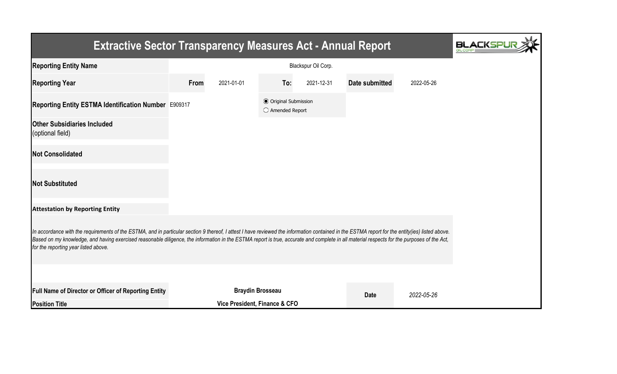| <b>Extractive Sector Transparency Measures Act - Annual Report</b>                                                                                                                                                                                                                                                                                                                                                                    |                     |                               |                                                  |            |                           |            |  |  |
|---------------------------------------------------------------------------------------------------------------------------------------------------------------------------------------------------------------------------------------------------------------------------------------------------------------------------------------------------------------------------------------------------------------------------------------|---------------------|-------------------------------|--------------------------------------------------|------------|---------------------------|------------|--|--|
| <b>Reporting Entity Name</b>                                                                                                                                                                                                                                                                                                                                                                                                          | Blackspur Oil Corp. |                               |                                                  |            |                           |            |  |  |
| <b>Reporting Year</b>                                                                                                                                                                                                                                                                                                                                                                                                                 | From<br>2021-01-01  |                               | To:                                              | 2021-12-31 | Date submitted            | 2022-05-26 |  |  |
| Reporting Entity ESTMA Identification Number E909317                                                                                                                                                                                                                                                                                                                                                                                  |                     |                               | <b>◎</b> Original Submission<br>○ Amended Report |            |                           |            |  |  |
| <b>Other Subsidiaries Included</b><br>(optional field)                                                                                                                                                                                                                                                                                                                                                                                |                     |                               |                                                  |            |                           |            |  |  |
| <b>Not Consolidated</b>                                                                                                                                                                                                                                                                                                                                                                                                               |                     |                               |                                                  |            |                           |            |  |  |
| <b>Not Substituted</b>                                                                                                                                                                                                                                                                                                                                                                                                                |                     |                               |                                                  |            |                           |            |  |  |
| <b>Attestation by Reporting Entity</b>                                                                                                                                                                                                                                                                                                                                                                                                |                     |                               |                                                  |            |                           |            |  |  |
| In accordance with the requirements of the ESTMA, and in particular section 9 thereof, I attest I have reviewed the information contained in the ESTMA report for the entity(ies) listed above.<br>Based on my knowledge, and having exercised reasonable diligence, the information in the ESTMA report is true, accurate and complete in all material respects for the purposes of the Act,<br>for the reporting year listed above. |                     |                               |                                                  |            |                           |            |  |  |
|                                                                                                                                                                                                                                                                                                                                                                                                                                       |                     |                               |                                                  |            |                           |            |  |  |
| <b>Full Name of Director or Officer of Reporting Entity</b>                                                                                                                                                                                                                                                                                                                                                                           |                     | <b>Braydin Brosseau</b>       |                                                  |            | <b>Date</b><br>2022-05-26 |            |  |  |
| <b>Position Title</b>                                                                                                                                                                                                                                                                                                                                                                                                                 |                     | Vice President, Finance & CFO |                                                  |            |                           |            |  |  |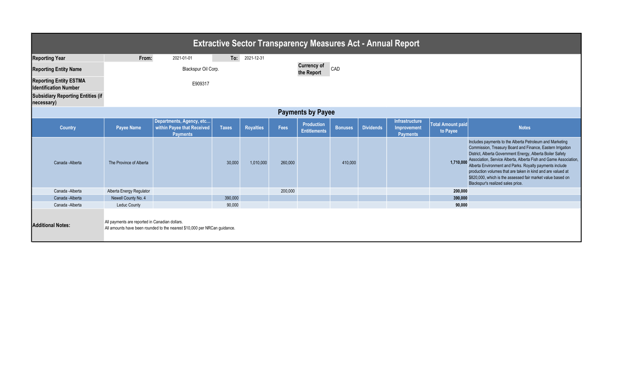| <b>Extractive Sector Transparency Measures Act - Annual Report</b> |                                                |                                                                           |              |            |                                  |                                          |                |                  |                                                  |                                      |                                                                                                                                                                                                                                                                                                                                                                                                                                                                                                  |  |  |
|--------------------------------------------------------------------|------------------------------------------------|---------------------------------------------------------------------------|--------------|------------|----------------------------------|------------------------------------------|----------------|------------------|--------------------------------------------------|--------------------------------------|--------------------------------------------------------------------------------------------------------------------------------------------------------------------------------------------------------------------------------------------------------------------------------------------------------------------------------------------------------------------------------------------------------------------------------------------------------------------------------------------------|--|--|
| <b>Reporting Year</b>                                              | From:                                          | 2021-01-01                                                                | To:          | 2021-12-31 |                                  |                                          |                |                  |                                                  |                                      |                                                                                                                                                                                                                                                                                                                                                                                                                                                                                                  |  |  |
| <b>Reporting Entity Name</b>                                       |                                                | Blackspur Oil Corp.                                                       |              |            | <b>Currency of</b><br>the Report | CAD                                      |                |                  |                                                  |                                      |                                                                                                                                                                                                                                                                                                                                                                                                                                                                                                  |  |  |
| <b>Reporting Entity ESTMA</b><br><b>Identification Number</b>      | E909317                                        |                                                                           |              |            |                                  |                                          |                |                  |                                                  |                                      |                                                                                                                                                                                                                                                                                                                                                                                                                                                                                                  |  |  |
| <b>Subsidiary Reporting Entities (if</b><br>necessary)             |                                                |                                                                           |              |            |                                  |                                          |                |                  |                                                  |                                      |                                                                                                                                                                                                                                                                                                                                                                                                                                                                                                  |  |  |
| <b>Payments by Payee</b>                                           |                                                |                                                                           |              |            |                                  |                                          |                |                  |                                                  |                                      |                                                                                                                                                                                                                                                                                                                                                                                                                                                                                                  |  |  |
| <b>Country</b>                                                     | <b>Payee Name</b>                              | Departments, Agency, etc<br>within Payee that Received<br><b>Payments</b> | <b>Taxes</b> | Royalties  | Fees                             | <b>Production</b><br><b>Entitlements</b> | <b>Bonuses</b> | <b>Dividends</b> | Infrastructure<br>Improvement<br><b>Payments</b> | <b>Total Amount paid</b><br>to Payee | <b>Notes</b>                                                                                                                                                                                                                                                                                                                                                                                                                                                                                     |  |  |
| Canada - Alberta                                                   | The Province of Alberta                        |                                                                           | 30,000       | 1,010,000  | 260,000                          |                                          | 410,000        |                  |                                                  |                                      | Includes payments to the Alberta Petroleum and Marketing<br>Commission, Treasury Board and Finance, Eastern Irrigation<br>District, Alberta Government Energy, Alberta Boiler Safety<br>1,710,000 Association, Service Alberta, Alberta Fish and Game Association,<br>Alberta Environment and Parks. Royalty payments include<br>production volumes that are taken in kind and are valued at<br>\$820,000, which is the assessed fair market value based on<br>Blackspur's realized sales price. |  |  |
| Canada - Alberta                                                   | Alberta Energy Regulator                       |                                                                           |              |            | 200,000                          |                                          |                |                  |                                                  | 200,000                              |                                                                                                                                                                                                                                                                                                                                                                                                                                                                                                  |  |  |
| Canada - Alberta                                                   | Newell County No. 4                            |                                                                           | 390.000      |            |                                  |                                          |                |                  |                                                  | 390,000                              |                                                                                                                                                                                                                                                                                                                                                                                                                                                                                                  |  |  |
| Canada - Alberta                                                   | <b>Leduc County</b>                            |                                                                           | 90.000       |            |                                  |                                          |                |                  |                                                  | 90.000                               |                                                                                                                                                                                                                                                                                                                                                                                                                                                                                                  |  |  |
| <b>Additional Notes:</b>                                           | All payments are reported in Canadian dollars. | All amounts have been rounded to the nearest \$10,000 per NRCan guidance. |              |            |                                  |                                          |                |                  |                                                  |                                      |                                                                                                                                                                                                                                                                                                                                                                                                                                                                                                  |  |  |